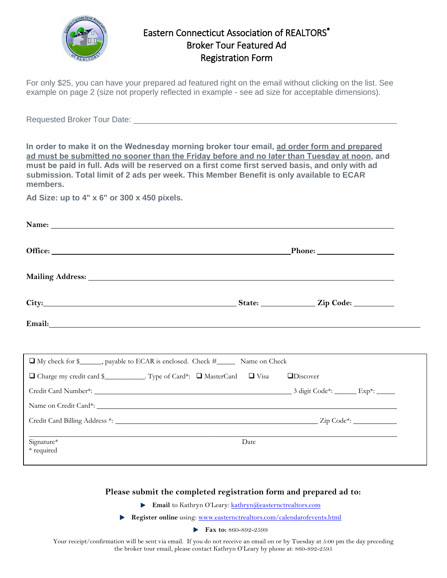

## Eastern Connecticut Association of REALTORS<sup>®</sup> Broker Tour Featured Ad Registration Form

For only \$25, you can have your prepared ad featured right on the email without clicking on the list. See example on page 2 (size not properly reflected in example - see ad size for acceptable dimensions).

Requested Broker Tour Date:

**In order to make it on the Wednesday morning broker tour email, ad order form and prepared ad must be submitted no sooner than the Friday before and no later than Tuesday at noon, and must be paid in full. Ads will be reserved on a first come first served basis, and only with ad submission. Total limit of 2 ads per week. This Member Benefit is only available to ECAR members.**

**Ad Size: up to 4" x 6" or 300 x 450 pixels.**

|                                                                                                                                                                                                                               | $\blacksquare$ Phone: $\blacksquare$ |  |  |
|-------------------------------------------------------------------------------------------------------------------------------------------------------------------------------------------------------------------------------|--------------------------------------|--|--|
|                                                                                                                                                                                                                               |                                      |  |  |
| City: City: City: City: City: City: City: City: Code: City: Code: City: Code: City: Code: City: Code: City: Code: City: Code: City: Code: City: Code: City: Code: City: Code: City: City: Code: City: City: City: City: City: |                                      |  |  |
| Email: No. 2014 19:30 No. 2014 19:30 No. 2014 19:30 No. 2014 19:30 No. 2014 19:30 No. 2014 19:30 No. 2014 19:30                                                                                                               |                                      |  |  |
|                                                                                                                                                                                                                               |                                      |  |  |
| □ My check for \$_______, payable to ECAR is enclosed. Check #_________ Name on Check                                                                                                                                         |                                      |  |  |
| □ Charge my credit card \$<br>Type of Card*: □ MasterCard □ Visa □ Discover                                                                                                                                                   |                                      |  |  |
|                                                                                                                                                                                                                               |                                      |  |  |
|                                                                                                                                                                                                                               |                                      |  |  |
|                                                                                                                                                                                                                               |                                      |  |  |
| Signature*<br>* required                                                                                                                                                                                                      | Date                                 |  |  |

## **Please submit the completed registration form and prepared ad to:**

**Email** to Kathryn O'Leary: **[kathryn@easternctrealtors.com](mailto:kathryn.oleary@easternctrealtors.com)** 

**Register online** using: [www.easternctrealtors.com/calendarofevents.html](http://www.easternctrealtors.com/calendarofevents.html)

**Fax to:** 860-892-2599

Your receipt/confirmation will be sent via email. If you do not receive an email on or by Tuesday at 5:00 pm the day preceding the broker tour email, please contact Kathryn O'Leary by phone at: 860-892-2595